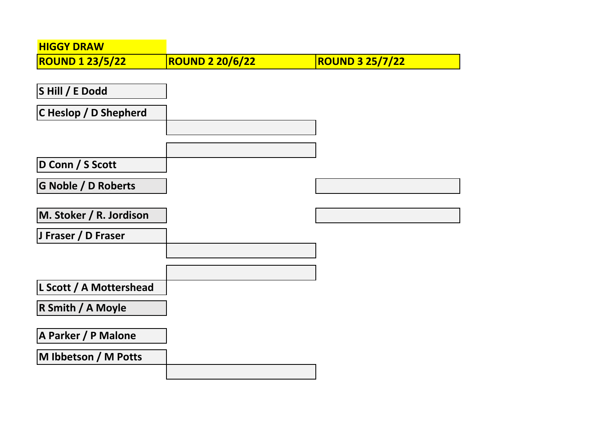| <b>HIGGY DRAW</b>          |                        |                        |
|----------------------------|------------------------|------------------------|
| <b>ROUND 1 23/5/22</b>     | <b>ROUND 2 20/6/22</b> | <b>ROUND 3 25/7/22</b> |
|                            |                        |                        |
| SHill / E Dodd             |                        |                        |
| C Heslop / D Shepherd      |                        |                        |
|                            |                        |                        |
|                            |                        |                        |
| D Conn / S Scott           |                        |                        |
| <b>G Noble / D Roberts</b> |                        |                        |
|                            |                        |                        |
| M. Stoker / R. Jordison    |                        |                        |
| J Fraser / D Fraser        |                        |                        |
|                            |                        |                        |
|                            |                        |                        |
| L Scott / A Mottershead    |                        |                        |
| R Smith / A Moyle          |                        |                        |
|                            |                        |                        |
| A Parker / P Malone        |                        |                        |
| M Ibbetson / M Potts       |                        |                        |
|                            |                        |                        |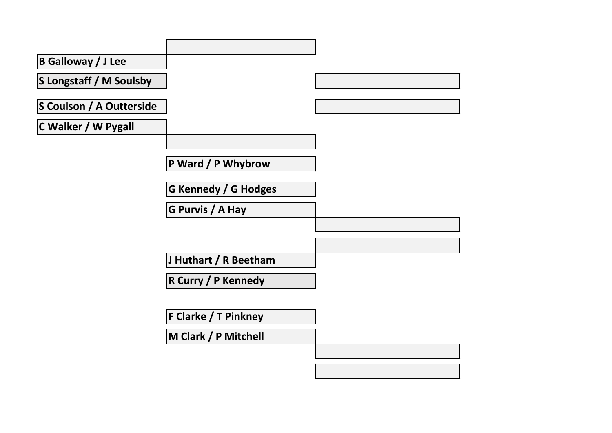| <b>B Galloway / J Lee</b>       |                             |  |
|---------------------------------|-----------------------------|--|
| S Longstaff / M Soulsby         |                             |  |
| <b>S Coulson / A Outterside</b> |                             |  |
| C Walker / W Pygall             |                             |  |
|                                 |                             |  |
|                                 | P Ward / P Whybrow          |  |
|                                 | <b>G Kennedy / G Hodges</b> |  |
|                                 | G Purvis / A Hay            |  |
|                                 |                             |  |
|                                 |                             |  |
|                                 | J Huthart / R Beetham       |  |
|                                 | <b>R Curry / P Kennedy</b>  |  |
|                                 |                             |  |
|                                 | <b>F Clarke / T Pinkney</b> |  |
|                                 | M Clark / P Mitchell        |  |
|                                 |                             |  |
|                                 |                             |  |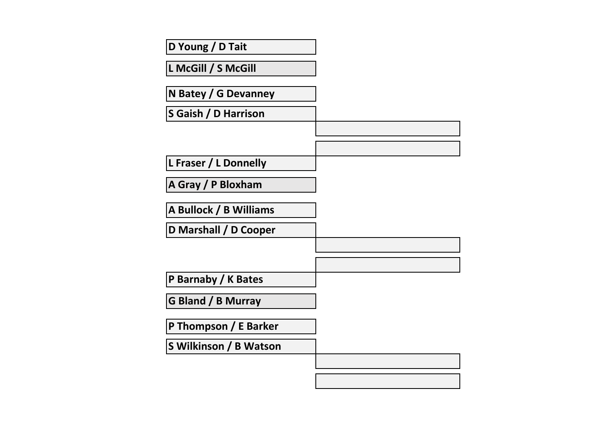| D Young / D Tait          |  |
|---------------------------|--|
| L McGill / S McGill       |  |
| N Batey / G Devanney      |  |
| S Gaish / D Harrison      |  |
|                           |  |
|                           |  |
| L Fraser / L Donnelly     |  |
| A Gray / P Bloxham        |  |
| A Bullock / B Williams    |  |
| D Marshall / D Cooper     |  |
|                           |  |
|                           |  |
| P Barnaby / K Bates       |  |
| <b>G Bland / B Murray</b> |  |
| P Thompson / E Barker     |  |
| S Wilkinson / B Watson    |  |
|                           |  |
|                           |  |